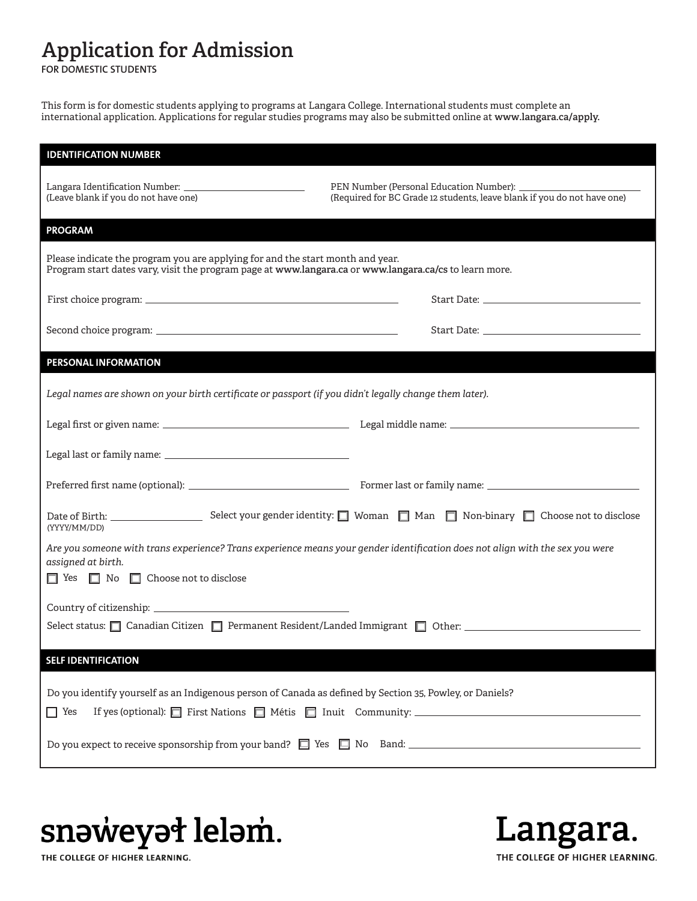## **Application for Admission**

**FOR DOMESTIC STUDENTS**

This form is for domestic students applying to programs at Langara College. International students must complete an international application. Applications for regular studies programs may also be submitted online at **[www.langara.ca/apply.](https://langara.ca/admissions/apply-to-langara/index.html)**

| <b>IDENTIFICATION NUMBER</b>                                                                                                                                                             |                                                                                                                                                                                                                                |  |  |  |  |
|------------------------------------------------------------------------------------------------------------------------------------------------------------------------------------------|--------------------------------------------------------------------------------------------------------------------------------------------------------------------------------------------------------------------------------|--|--|--|--|
| (Leave blank if you do not have one)                                                                                                                                                     | (Required for BC Grade 12 students, leave blank if you do not have one)                                                                                                                                                        |  |  |  |  |
| <b>PROGRAM</b>                                                                                                                                                                           |                                                                                                                                                                                                                                |  |  |  |  |
| Please indicate the program you are applying for and the start month and year.<br>Program start dates vary, visit the program page at www.langara.ca or www.langara.ca/cs to learn more. |                                                                                                                                                                                                                                |  |  |  |  |
|                                                                                                                                                                                          | Start Date: the contract of the contract of the contract of the contract of the contract of the contract of the contract of the contract of the contract of the contract of the contract of the contract of the contract of th |  |  |  |  |
|                                                                                                                                                                                          |                                                                                                                                                                                                                                |  |  |  |  |
| PERSONAL INFORMATION                                                                                                                                                                     |                                                                                                                                                                                                                                |  |  |  |  |
| Legal names are shown on your birth certificate or passport (if you didn't legally change them later).                                                                                   |                                                                                                                                                                                                                                |  |  |  |  |
|                                                                                                                                                                                          |                                                                                                                                                                                                                                |  |  |  |  |
|                                                                                                                                                                                          |                                                                                                                                                                                                                                |  |  |  |  |
|                                                                                                                                                                                          |                                                                                                                                                                                                                                |  |  |  |  |
| (YYYY/MM/DD)                                                                                                                                                                             | Date of Birth: Select your gender identity: ■ Woman ■ Man ■ Non-binary ■ Choose not to disclose                                                                                                                                |  |  |  |  |
| Are you someone with trans experience? Trans experience means your gender identification does not align with the sex you were<br>assigned at birth.                                      |                                                                                                                                                                                                                                |  |  |  |  |
| □ Yes □ No □ Choose not to disclose                                                                                                                                                      |                                                                                                                                                                                                                                |  |  |  |  |
|                                                                                                                                                                                          |                                                                                                                                                                                                                                |  |  |  |  |
| Select status: <u>Ocanadian Citizen Competence Permanent</u> Resident/Landed Immigrant Competence Competence Competenc                                                                   |                                                                                                                                                                                                                                |  |  |  |  |
| <b>SELF IDENTIFICATION</b>                                                                                                                                                               |                                                                                                                                                                                                                                |  |  |  |  |
| Do you identify yourself as an Indigenous person of Canada as defined by Section 35, Powley, or Daniels?<br>$\Box$ Yes                                                                   |                                                                                                                                                                                                                                |  |  |  |  |
|                                                                                                                                                                                          |                                                                                                                                                                                                                                |  |  |  |  |



Langara. THE COLLEGE OF HIGHER LEARNING.

THE COLLEGE OF HIGHER LEARNING.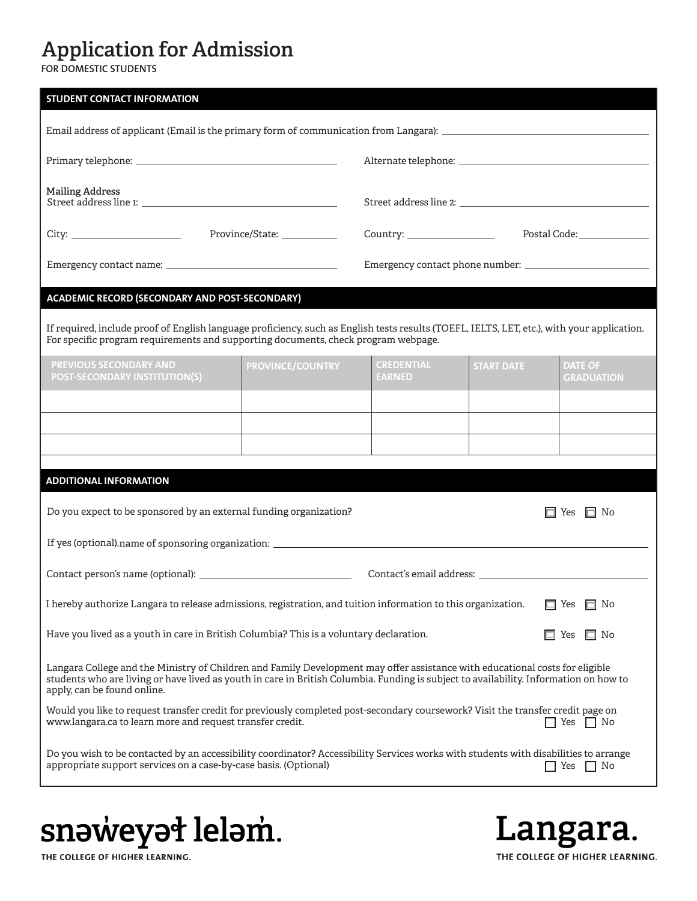# **Application for Admission**

**FOR DOMESTIC STUDENTS**

| <b>STUDENT CONTACT INFORMATION</b>                                                                                                                                                                                                                                                                   |                         |                                    |                   |                                     |  |  |
|------------------------------------------------------------------------------------------------------------------------------------------------------------------------------------------------------------------------------------------------------------------------------------------------------|-------------------------|------------------------------------|-------------------|-------------------------------------|--|--|
|                                                                                                                                                                                                                                                                                                      |                         |                                    |                   |                                     |  |  |
|                                                                                                                                                                                                                                                                                                      |                         |                                    |                   |                                     |  |  |
| <b>Mailing Address</b>                                                                                                                                                                                                                                                                               |                         |                                    |                   |                                     |  |  |
|                                                                                                                                                                                                                                                                                                      |                         | Postal Code: ________________      |                   |                                     |  |  |
|                                                                                                                                                                                                                                                                                                      |                         |                                    |                   |                                     |  |  |
| <b>ACADEMIC RECORD (SECONDARY AND POST-SECONDARY)</b>                                                                                                                                                                                                                                                |                         |                                    |                   |                                     |  |  |
| If required, include proof of English language proficiency, such as English tests results (TOEFL, IELTS, LET, etc.), with your application.<br>For specific program requirements and supporting documents, check program webpage.                                                                    |                         |                                    |                   |                                     |  |  |
| PREVIOUS SECONDARY AND<br><b>POST-SECONDARY INSTITUTION(S)</b>                                                                                                                                                                                                                                       | <b>PROVINCE/COUNTRY</b> | <b>CREDENTIAL</b><br><b>EARNED</b> | <b>START DATE</b> | <b>DATE OF</b><br><b>GRADUATION</b> |  |  |
|                                                                                                                                                                                                                                                                                                      |                         |                                    |                   |                                     |  |  |
|                                                                                                                                                                                                                                                                                                      |                         |                                    |                   |                                     |  |  |
|                                                                                                                                                                                                                                                                                                      |                         |                                    |                   |                                     |  |  |
| <b>ADDITIONAL INFORMATION</b>                                                                                                                                                                                                                                                                        |                         |                                    |                   |                                     |  |  |
| Do you expect to be sponsored by an external funding organization?<br>$\Box$ No<br>Yes                                                                                                                                                                                                               |                         |                                    |                   |                                     |  |  |
| If yes (optional), name of sponsoring organization: _____________________________                                                                                                                                                                                                                    |                         |                                    |                   |                                     |  |  |
|                                                                                                                                                                                                                                                                                                      |                         |                                    |                   |                                     |  |  |
| I hereby authorize Langara to release admissions, registration, and tuition information to this organization.<br>$\Box$ No<br>Yes                                                                                                                                                                    |                         |                                    |                   |                                     |  |  |
| Have you lived as a youth in care in British Columbia? This is a voluntary declaration.<br>$\Box$ No<br>$\Box$ Yes                                                                                                                                                                                   |                         |                                    |                   |                                     |  |  |
| Langara College and the Ministry of Children and Family Development may offer assistance with educational costs for eligible<br>students who are living or have lived as youth in care in British Columbia. Funding is subject to availability. Information on how to<br>apply, can be found online. |                         |                                    |                   |                                     |  |  |
| Would you like to request transfer credit for previously completed post-secondary coursework? Visit the transfer credit page on<br>www.langara.ca to learn more and request transfer credit.<br>Yes<br>$\vert$   No                                                                                  |                         |                                    |                   |                                     |  |  |
| Do you wish to be contacted by an accessibility coordinator? Accessibility Services works with students with disabilities to arrange<br>appropriate support services on a case-by-case basis. (Optional)<br>$\Box$ Yes $\Box$ No                                                                     |                         |                                    |                   |                                     |  |  |

snəweyət leləm.

Langara. THE COLLEGE OF HIGHER LEARNING.

THE COLLEGE OF HIGHER LEARNING.